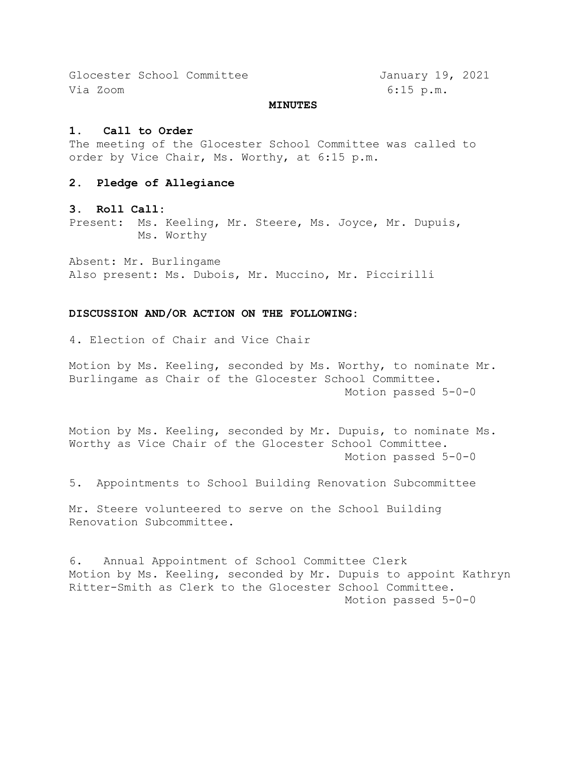Glocester School Committee January 19, 2021 Via Zoom 6:15 p.m.

#### **MINUTES**

#### **1. Call to Order**

The meeting of the Glocester School Committee was called to order by Vice Chair, Ms. Worthy, at 6:15 p.m.

### **2. Pledge of Allegiance**

#### **3. Roll Call:**

Present: Ms. Keeling, Mr. Steere, Ms. Joyce, Mr. Dupuis, Ms. Worthy

Absent: Mr. Burlingame Also present: Ms. Dubois, Mr. Muccino, Mr. Piccirilli

#### **DISCUSSION AND/OR ACTION ON THE FOLLOWING:**

4. Election of Chair and Vice Chair

Motion by Ms. Keeling, seconded by Ms. Worthy, to nominate Mr. Burlingame as Chair of the Glocester School Committee. Motion passed 5-0-0

Motion by Ms. Keeling, seconded by Mr. Dupuis, to nominate Ms. Worthy as Vice Chair of the Glocester School Committee. Motion passed 5-0-0

5. Appointments to School Building Renovation Subcommittee

Mr. Steere volunteered to serve on the School Building Renovation Subcommittee.

6. Annual Appointment of School Committee Clerk Motion by Ms. Keeling, seconded by Mr. Dupuis to appoint Kathryn Ritter-Smith as Clerk to the Glocester School Committee. Motion passed 5-0-0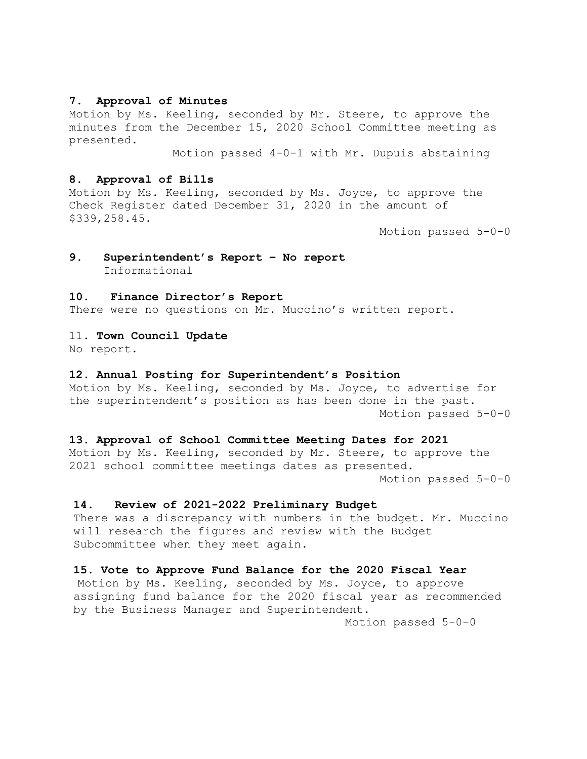## **7. Approval of Minutes**

Motion by Ms. Keeling, seconded by Mr. Steere, to approve the minutes from the December 15, 2020 School Committee meeting as presented.

Motion passed 4-0-1 with Mr. Dupuis abstaining

## **8. Approval of Bills**

Motion by Ms. Keeling, seconded by Ms. Joyce, to approve the Check Register dated December 31, 2020 in the amount of \$339,258.45.

Motion passed 5-0-0

# **9. Superintendent's Report – No report** Informational

## **10. Finance Director's Report**

There were no questions on Mr. Muccino's written report.

#### 11. **Town Council Update**

No report.

## **12. Annual Posting for Superintendent's Position**

Motion by Ms. Keeling, seconded by Ms. Joyce, to advertise for the superintendent's position as has been done in the past. Motion passed 5-0-0

#### **13. Approval of School Committee Meeting Dates for 2021**

Motion by Ms. Keeling, seconded by Mr. Steere, to approve the 2021 school committee meetings dates as presented. Motion passed 5-0-0

#### **14. Review of 2021-2022 Preliminary Budget**

There was a discrepancy with numbers in the budget. Mr. Muccino will research the figures and review with the Budget Subcommittee when they meet again.

## **15. Vote to Approve Fund Balance for the 2020 Fiscal Year**

Motion by Ms. Keeling, seconded by Ms. Joyce, to approve assigning fund balance for the 2020 fiscal year as recommended by the Business Manager and Superintendent.

Motion passed 5-0-0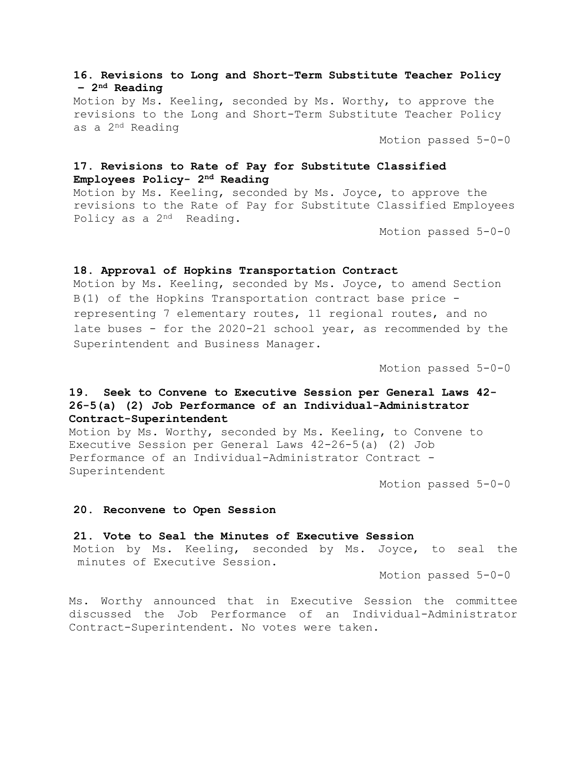## **16. Revisions to Long and Short-Term Substitute Teacher Policy – 2nd Reading**

Motion by Ms. Keeling, seconded by Ms. Worthy, to approve the revisions to the Long and Short-Term Substitute Teacher Policy as a 2nd Reading

Motion passed 5-0-0

# **17. Revisions to Rate of Pay for Substitute Classified Employees Policy- 2nd Reading**

Motion by Ms. Keeling, seconded by Ms. Joyce, to approve the revisions to the Rate of Pay for Substitute Classified Employees Policy as a 2nd Reading.

Motion passed 5-0-0

## **18. Approval of Hopkins Transportation Contract**

Motion by Ms. Keeling, seconded by Ms. Joyce, to amend Section B(1) of the Hopkins Transportation contract base price representing 7 elementary routes, 11 regional routes, and no late buses - for the 2020-21 school year, as recommended by the Superintendent and Business Manager.

Motion passed 5-0-0

# **19. Seek to Convene to Executive Session per General Laws 42- 26-5(a) (2) Job Performance of an Individual-Administrator Contract-Superintendent**

Motion by Ms. Worthy, seconded by Ms. Keeling, to Convene to Executive Session per General Laws 42-26-5(a) (2) Job Performance of an Individual-Administrator Contract - Superintendent

Motion passed 5-0-0

## **20. Reconvene to Open Session**

**21. Vote to Seal the Minutes of Executive Session** Motion by Ms. Keeling, seconded by Ms. Joyce, to seal the minutes of Executive Session.

Motion passed 5-0-0

Ms. Worthy announced that in Executive Session the committee discussed the Job Performance of an Individual-Administrator Contract-Superintendent. No votes were taken.